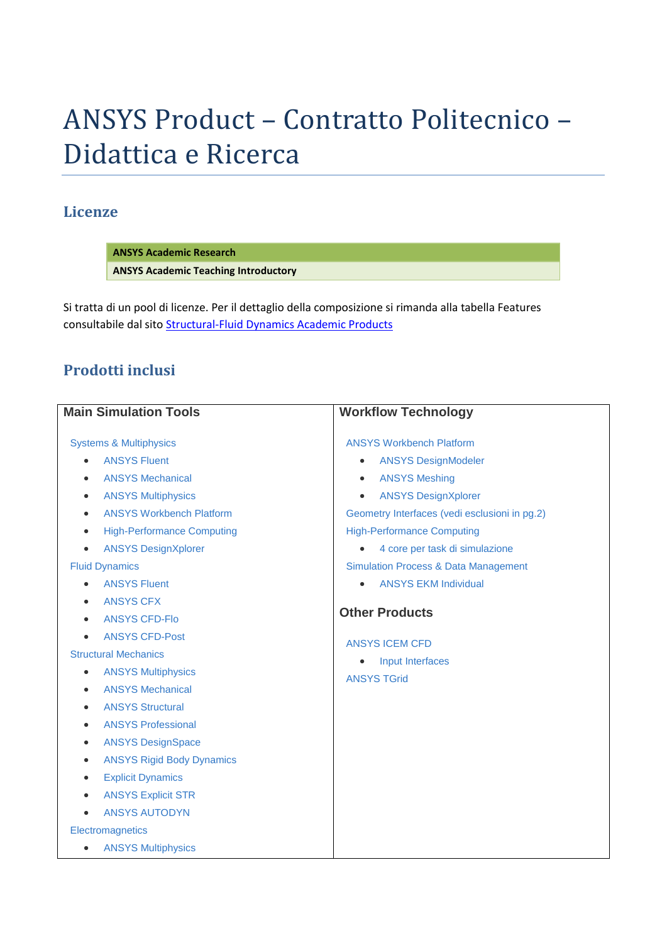# ANSYS Product – Contratto Politecnico – Didattica e Ricerca

## **Licenze**

**ANSYS Academic Research ANSYS Academic Teaching Introductory**

Si tratta di un pool di licenze. Per il dettaglio della composizione si rimanda alla tabella Features consultabile dal sito [Structural-Fluid Dynamics Academic Products](http://www.ansys.com/Industries/Academic/Structural+&+Fluid+Dynamics)

## **Prodotti inclusi**

| <b>Main Simulation Tools</b>                   | <b>Workflow Technology</b>                      |
|------------------------------------------------|-------------------------------------------------|
| <b>Systems &amp; Multiphysics</b>              | <b>ANSYS Workbench Platform</b>                 |
| <b>ANSYS Fluent</b><br>$\bullet$               | <b>ANSYS DesignModeler</b><br>$\bullet$         |
| <b>ANSYS Mechanical</b><br>$\bullet$           | <b>ANSYS Meshing</b><br>$\bullet$               |
| <b>ANSYS Multiphysics</b><br>$\bullet$         | <b>ANSYS DesignXplorer</b><br>$\bullet$         |
| <b>ANSYS Workbench Platform</b><br>$\bullet$   | Geometry Interfaces (vedi esclusioni in pg.2)   |
| <b>High-Performance Computing</b><br>$\bullet$ | <b>High-Performance Computing</b>               |
| <b>ANSYS DesignXplorer</b><br>$\bullet$        | 4 core per task di simulazione                  |
| <b>Fluid Dynamics</b>                          | <b>Simulation Process &amp; Data Management</b> |
| <b>ANSYS Fluent</b><br>$\bullet$               | <b>ANSYS EKM Individual</b>                     |
| <b>ANSYS CFX</b><br>$\bullet$                  |                                                 |
| <b>ANSYS CFD-Flo</b><br>$\bullet$              | <b>Other Products</b>                           |
| <b>ANSYS CFD-Post</b><br>$\bullet$             | <b>ANSYS ICEM CFD</b>                           |
| <b>Structural Mechanics</b>                    | Input Interfaces<br>$\bullet$                   |
| <b>ANSYS Multiphysics</b><br>$\bullet$         | <b>ANSYS TGrid</b>                              |
| <b>ANSYS Mechanical</b><br>$\bullet$           |                                                 |
| <b>ANSYS Structural</b><br>$\bullet$           |                                                 |
| <b>ANSYS Professional</b><br>$\bullet$         |                                                 |
| <b>ANSYS DesignSpace</b><br>$\bullet$          |                                                 |
| <b>ANSYS Rigid Body Dynamics</b><br>$\bullet$  |                                                 |
| <b>Explicit Dynamics</b><br>$\bullet$          |                                                 |
| <b>ANSYS Explicit STR</b><br>$\bullet$         |                                                 |
| <b>ANSYS AUTODYN</b><br>$\bullet$              |                                                 |
| Electromagnetics                               |                                                 |
| <b>ANSYS Multiphysics</b><br>$\bullet$         |                                                 |